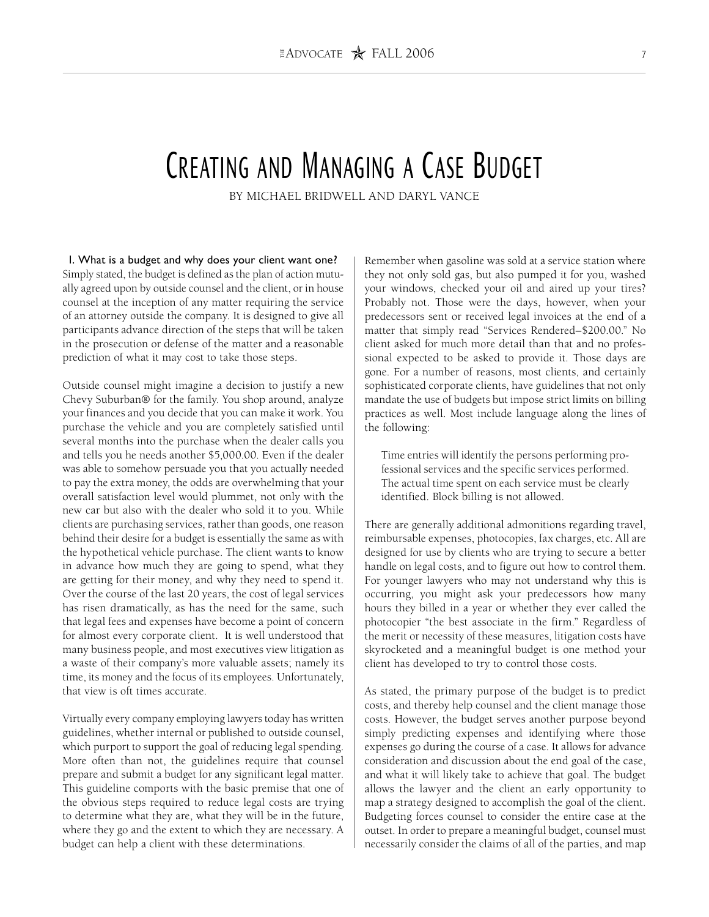# CREATING AND MANAGING A CASE BUDGET

BY MICHAEL BRIDWELL AND DARYL VANCE

I. What is a budget and why does your client want one? Simply stated, the budget is defined as the plan of action mutually agreed upon by outside counsel and the client, or in house counsel at the inception of any matter requiring the service of an attorney outside the company. It is designed to give all participants advance direction of the steps that will be taken in the prosecution or defense of the matter and a reasonable prediction of what it may cost to take those steps.

Outside counsel might imagine a decision to justify a new Chevy Suburban® for the family. You shop around, analyze your finances and you decide that you can make it work. You purchase the vehicle and you are completely satisfied until several months into the purchase when the dealer calls you and tells you he needs another \$5,000.00. Even if the dealer was able to somehow persuade you that you actually needed to pay the extra money, the odds are overwhelming that your overall satisfaction level would plummet, not only with the new car but also with the dealer who sold it to you. While clients are purchasing services, rather than goods, one reason behind their desire for a budget is essentially the same as with the hypothetical vehicle purchase. The client wants to know in advance how much they are going to spend, what they are getting for their money, and why they need to spend it. Over the course of the last 20 years, the cost of legal services has risen dramatically, as has the need for the same, such that legal fees and expenses have become a point of concern for almost every corporate client. It is well understood that many business people, and most executives view litigation as a waste of their company's more valuable assets; namely its time, its money and the focus of its employees. Unfortunately, that view is oft times accurate.

Virtually every company employing lawyers today has written guidelines, whether internal or published to outside counsel, which purport to support the goal of reducing legal spending. More often than not, the guidelines require that counsel prepare and submit a budget for any significant legal matter. This guideline comports with the basic premise that one of the obvious steps required to reduce legal costs are trying to determine what they are, what they will be in the future, where they go and the extent to which they are necessary. A budget can help a client with these determinations.

Remember when gasoline was sold at a service station where they not only sold gas, but also pumped it for you, washed your windows, checked your oil and aired up your tires? Probably not. Those were the days, however, when your predecessors sent or received legal invoices at the end of a matter that simply read "Services Rendered–\$200.00." No client asked for much more detail than that and no professional expected to be asked to provide it. Those days are gone. For a number of reasons, most clients, and certainly sophisticated corporate clients, have guidelines that not only mandate the use of budgets but impose strict limits on billing practices as well. Most include language along the lines of the following:

Time entries will identify the persons performing professional services and the specific services performed. The actual time spent on each service must be clearly identified. Block billing is not allowed.

There are generally additional admonitions regarding travel, reimbursable expenses, photocopies, fax charges, etc. All are designed for use by clients who are trying to secure a better handle on legal costs, and to figure out how to control them. For younger lawyers who may not understand why this is occurring, you might ask your predecessors how many hours they billed in a year or whether they ever called the photocopier "the best associate in the firm." Regardless of the merit or necessity of these measures, litigation costs have skyrocketed and a meaningful budget is one method your client has developed to try to control those costs.

As stated, the primary purpose of the budget is to predict costs, and thereby help counsel and the client manage those costs. However, the budget serves another purpose beyond simply predicting expenses and identifying where those expenses go during the course of a case. It allows for advance consideration and discussion about the end goal of the case, and what it will likely take to achieve that goal. The budget allows the lawyer and the client an early opportunity to map a strategy designed to accomplish the goal of the client. Budgeting forces counsel to consider the entire case at the outset. In order to prepare a meaningful budget, counsel must necessarily consider the claims of all of the parties, and map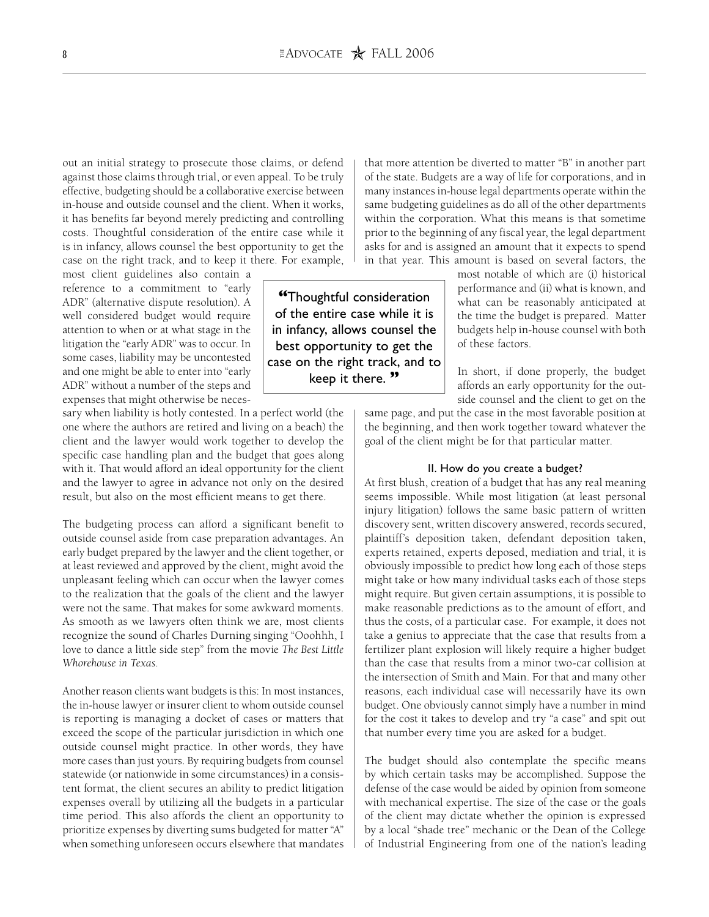out an initial strategy to prosecute those claims, or defend against those claims through trial, or even appeal. To be truly effective, budgeting should be a collaborative exercise between in-house and outside counsel and the client. When it works, it has benefits far beyond merely predicting and controlling costs. Thoughtful consideration of the entire case while it is in infancy, allows counsel the best opportunity to get the case on the right track, and to keep it there. For example,

most client guidelines also contain a reference to a commitment to "early ADR" (alternative dispute resolution). A well considered budget would require attention to when or at what stage in the litigation the "early ADR" was to occur. In some cases, liability may be uncontested and one might be able to enter into "early ADR" without a number of the steps and expenses that might otherwise be neces-

sary when liability is hotly contested. In a perfect world (the one where the authors are retired and living on a beach) the client and the lawyer would work together to develop the specific case handling plan and the budget that goes along with it. That would afford an ideal opportunity for the client and the lawyer to agree in advance not only on the desired result, but also on the most efficient means to get there.

The budgeting process can afford a significant benefit to outside counsel aside from case preparation advantages. An early budget prepared by the lawyer and the client together, or at least reviewed and approved by the client, might avoid the unpleasant feeling which can occur when the lawyer comes to the realization that the goals of the client and the lawyer were not the same. That makes for some awkward moments. As smooth as we lawyers often think we are, most clients recognize the sound of Charles Durning singing "Ooohhh, I love to dance a little side step" from the movie *The Best Little Whorehouse in Texas*.

Another reason clients want budgets is this: In most instances, the in-house lawyer or insurer client to whom outside counsel is reporting is managing a docket of cases or matters that exceed the scope of the particular jurisdiction in which one outside counsel might practice. In other words, they have more cases than just yours. By requiring budgets from counsel statewide (or nationwide in some circumstances) in a consistent format, the client secures an ability to predict litigation expenses overall by utilizing all the budgets in a particular time period. This also affords the client an opportunity to prioritize expenses by diverting sums budgeted for matter "A" when something unforeseen occurs elsewhere that mandates that more attention be diverted to matter "B" in another part of the state. Budgets are a way of life for corporations, and in many instances in-house legal departments operate within the same budgeting guidelines as do all of the other departments within the corporation. What this means is that sometime prior to the beginning of any fiscal year, the legal department asks for and is assigned an amount that it expects to spend in that year. This amount is based on several factors, the

> most notable of which are (i) historical performance and (ii) what is known, and what can be reasonably anticipated at the time the budget is prepared. Matter budgets help in-house counsel with both of these factors.

In short, if done properly, the budget affords an early opportunity for the outside counsel and the client to get on the

same page, and put the case in the most favorable position at the beginning, and then work together toward whatever the goal of the client might be for that particular matter.

#### II. How do you create a budget?

At first blush, creation of a budget that has any real meaning seems impossible. While most litigation (at least personal injury litigation) follows the same basic pattern of written discovery sent, written discovery answered, records secured, plaintiff's deposition taken, defendant deposition taken, experts retained, experts deposed, mediation and trial, it is obviously impossible to predict how long each of those steps might take or how many individual tasks each of those steps might require. But given certain assumptions, it is possible to make reasonable predictions as to the amount of effort, and thus the costs, of a particular case. For example, it does not take a genius to appreciate that the case that results from a fertilizer plant explosion will likely require a higher budget than the case that results from a minor two-car collision at the intersection of Smith and Main. For that and many other reasons, each individual case will necessarily have its own budget. One obviously cannot simply have a number in mind for the cost it takes to develop and try "a case" and spit out that number every time you are asked for a budget.

The budget should also contemplate the specific means by which certain tasks may be accomplished. Suppose the defense of the case would be aided by opinion from someone with mechanical expertise. The size of the case or the goals of the client may dictate whether the opinion is expressed by a local "shade tree" mechanic or the Dean of the College of Industrial Engineering from one of the nation's leading

**"**Thoughtful consideration of the entire case while it is in infancy, allows counsel the best opportunity to get the case on the right track, and to keep it there. **"**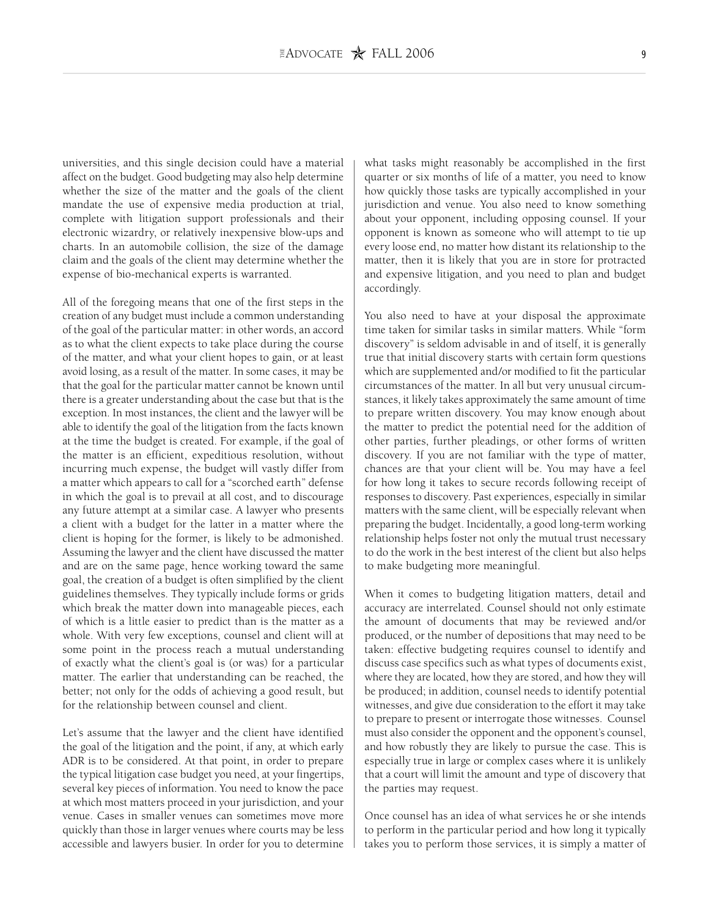universities, and this single decision could have a material affect on the budget. Good budgeting may also help determine whether the size of the matter and the goals of the client mandate the use of expensive media production at trial, complete with litigation support professionals and their electronic wizardry, or relatively inexpensive blow-ups and charts. In an automobile collision, the size of the damage claim and the goals of the client may determine whether the expense of bio-mechanical experts is warranted.

All of the foregoing means that one of the first steps in the creation of any budget must include a common understanding of the goal of the particular matter: in other words, an accord as to what the client expects to take place during the course of the matter, and what your client hopes to gain, or at least avoid losing, as a result of the matter. In some cases, it may be that the goal for the particular matter cannot be known until there is a greater understanding about the case but that is the exception. In most instances, the client and the lawyer will be able to identify the goal of the litigation from the facts known at the time the budget is created. For example, if the goal of the matter is an efficient, expeditious resolution, without incurring much expense, the budget will vastly differ from a matter which appears to call for a "scorched earth" defense in which the goal is to prevail at all cost, and to discourage any future attempt at a similar case. A lawyer who presents a client with a budget for the latter in a matter where the client is hoping for the former, is likely to be admonished. Assuming the lawyer and the client have discussed the matter and are on the same page, hence working toward the same goal, the creation of a budget is often simplified by the client guidelines themselves. They typically include forms or grids which break the matter down into manageable pieces, each of which is a little easier to predict than is the matter as a whole. With very few exceptions, counsel and client will at some point in the process reach a mutual understanding of exactly what the client's goal is (or was) for a particular matter. The earlier that understanding can be reached, the better; not only for the odds of achieving a good result, but for the relationship between counsel and client.

Let's assume that the lawyer and the client have identified the goal of the litigation and the point, if any, at which early ADR is to be considered. At that point, in order to prepare the typical litigation case budget you need, at your fingertips, several key pieces of information. You need to know the pace at which most matters proceed in your jurisdiction, and your venue. Cases in smaller venues can sometimes move more quickly than those in larger venues where courts may be less accessible and lawyers busier. In order for you to determine what tasks might reasonably be accomplished in the first quarter or six months of life of a matter, you need to know how quickly those tasks are typically accomplished in your jurisdiction and venue. You also need to know something about your opponent, including opposing counsel. If your opponent is known as someone who will attempt to tie up every loose end, no matter how distant its relationship to the matter, then it is likely that you are in store for protracted and expensive litigation, and you need to plan and budget accordingly.

You also need to have at your disposal the approximate time taken for similar tasks in similar matters. While "form discovery" is seldom advisable in and of itself, it is generally true that initial discovery starts with certain form questions which are supplemented and/or modified to fit the particular circumstances of the matter. In all but very unusual circumstances, it likely takes approximately the same amount of time to prepare written discovery. You may know enough about the matter to predict the potential need for the addition of other parties, further pleadings, or other forms of written discovery. If you are not familiar with the type of matter, chances are that your client will be. You may have a feel for how long it takes to secure records following receipt of responses to discovery. Past experiences, especially in similar matters with the same client, will be especially relevant when preparing the budget. Incidentally, a good long-term working relationship helps foster not only the mutual trust necessary to do the work in the best interest of the client but also helps to make budgeting more meaningful.

When it comes to budgeting litigation matters, detail and accuracy are interrelated. Counsel should not only estimate the amount of documents that may be reviewed and/or produced, or the number of depositions that may need to be taken: effective budgeting requires counsel to identify and discuss case specifics such as what types of documents exist, where they are located, how they are stored, and how they will be produced; in addition, counsel needs to identify potential witnesses, and give due consideration to the effort it may take to prepare to present or interrogate those witnesses. Counsel must also consider the opponent and the opponent's counsel, and how robustly they are likely to pursue the case. This is especially true in large or complex cases where it is unlikely that a court will limit the amount and type of discovery that the parties may request.

Once counsel has an idea of what services he or she intends to perform in the particular period and how long it typically takes you to perform those services, it is simply a matter of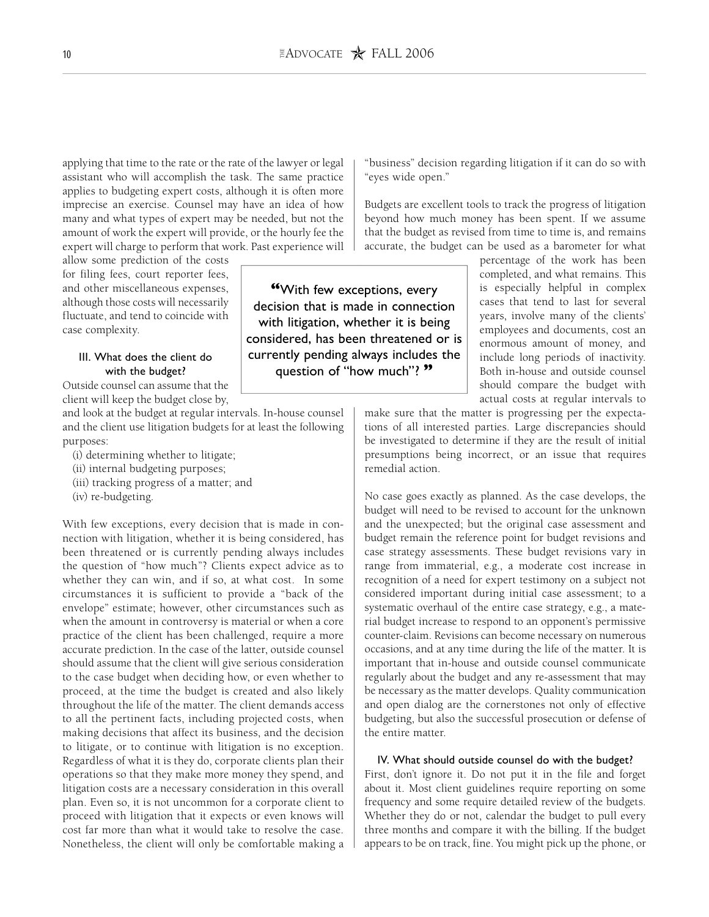**"**With few exceptions, every decision that is made in connection with litigation, whether it is being considered, has been threatened or is currently pending always includes the question of "how much"? **"**

applying that time to the rate or the rate of the lawyer or legal assistant who will accomplish the task. The same practice applies to budgeting expert costs, although it is often more imprecise an exercise. Counsel may have an idea of how many and what types of expert may be needed, but not the amount of work the expert will provide, or the hourly fee the expert will charge to perform that work. Past experience will

allow some prediction of the costs for filing fees, court reporter fees, and other miscellaneous expenses, although those costs will necessarily fluctuate, and tend to coincide with case complexity.

### III. What does the client do with the budget?

Outside counsel can assume that the client will keep the budget close by,

and look at the budget at regular intervals. In-house counsel and the client use litigation budgets for at least the following purposes:

- (i) determining whether to litigate;
- (ii) internal budgeting purposes;
- (iii) tracking progress of a matter; and
- (iv) re-budgeting.

With few exceptions, every decision that is made in connection with litigation, whether it is being considered, has been threatened or is currently pending always includes the question of "how much"? Clients expect advice as to whether they can win, and if so, at what cost. In some circumstances it is sufficient to provide a "back of the envelope" estimate; however, other circumstances such as when the amount in controversy is material or when a core practice of the client has been challenged, require a more accurate prediction. In the case of the latter, outside counsel should assume that the client will give serious consideration to the case budget when deciding how, or even whether to proceed, at the time the budget is created and also likely throughout the life of the matter. The client demands access to all the pertinent facts, including projected costs, when making decisions that affect its business, and the decision to litigate, or to continue with litigation is no exception. Regardless of what it is they do, corporate clients plan their operations so that they make more money they spend, and litigation costs are a necessary consideration in this overall plan. Even so, it is not uncommon for a corporate client to proceed with litigation that it expects or even knows will cost far more than what it would take to resolve the case. Nonetheless, the client will only be comfortable making a

"business" decision regarding litigation if it can do so with "eyes wide open."

Budgets are excellent tools to track the progress of litigation beyond how much money has been spent. If we assume that the budget as revised from time to time is, and remains accurate, the budget can be used as a barometer for what

> percentage of the work has been completed, and what remains. This is especially helpful in complex cases that tend to last for several years, involve many of the clients' employees and documents, cost an enormous amount of money, and include long periods of inactivity. Both in-house and outside counsel should compare the budget with actual costs at regular intervals to

make sure that the matter is progressing per the expectations of all interested parties. Large discrepancies should be investigated to determine if they are the result of initial presumptions being incorrect, or an issue that requires remedial action.

No case goes exactly as planned. As the case develops, the budget will need to be revised to account for the unknown and the unexpected; but the original case assessment and budget remain the reference point for budget revisions and case strategy assessments. These budget revisions vary in range from immaterial, e.g., a moderate cost increase in recognition of a need for expert testimony on a subject not considered important during initial case assessment; to a systematic overhaul of the entire case strategy, e.g., a material budget increase to respond to an opponent's permissive counter-claim. Revisions can become necessary on numerous occasions, and at any time during the life of the matter. It is important that in-house and outside counsel communicate regularly about the budget and any re-assessment that may be necessary as the matter develops. Quality communication and open dialog are the cornerstones not only of effective budgeting, but also the successful prosecution or defense of the entire matter.

#### IV. What should outside counsel do with the budget?

First, don't ignore it. Do not put it in the file and forget about it. Most client guidelines require reporting on some frequency and some require detailed review of the budgets. Whether they do or not, calendar the budget to pull every three months and compare it with the billing. If the budget appears to be on track, fine. You might pick up the phone, or

10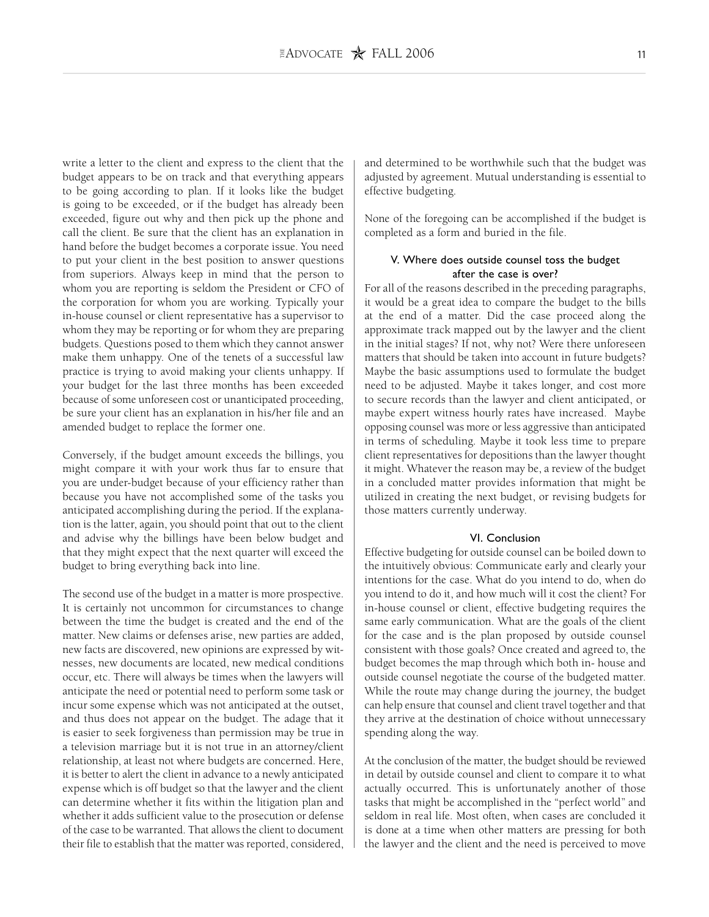write a letter to the client and express to the client that the budget appears to be on track and that everything appears to be going according to plan. If it looks like the budget is going to be exceeded, or if the budget has already been exceeded, figure out why and then pick up the phone and call the client. Be sure that the client has an explanation in hand before the budget becomes a corporate issue. You need to put your client in the best position to answer questions from superiors. Always keep in mind that the person to whom you are reporting is seldom the President or CFO of the corporation for whom you are working. Typically your in-house counsel or client representative has a supervisor to whom they may be reporting or for whom they are preparing budgets. Questions posed to them which they cannot answer make them unhappy. One of the tenets of a successful law practice is trying to avoid making your clients unhappy. If your budget for the last three months has been exceeded because of some unforeseen cost or unanticipated proceeding, be sure your client has an explanation in his/her file and an amended budget to replace the former one.

Conversely, if the budget amount exceeds the billings, you might compare it with your work thus far to ensure that you are under-budget because of your efficiency rather than because you have not accomplished some of the tasks you anticipated accomplishing during the period. If the explanation is the latter, again, you should point that out to the client and advise why the billings have been below budget and that they might expect that the next quarter will exceed the budget to bring everything back into line.

The second use of the budget in a matter is more prospective. It is certainly not uncommon for circumstances to change between the time the budget is created and the end of the matter. New claims or defenses arise, new parties are added, new facts are discovered, new opinions are expressed by witnesses, new documents are located, new medical conditions occur, etc. There will always be times when the lawyers will anticipate the need or potential need to perform some task or incur some expense which was not anticipated at the outset, and thus does not appear on the budget. The adage that it is easier to seek forgiveness than permission may be true in a television marriage but it is not true in an attorney/client relationship, at least not where budgets are concerned. Here, it is better to alert the client in advance to a newly anticipated expense which is off budget so that the lawyer and the client can determine whether it fits within the litigation plan and whether it adds sufficient value to the prosecution or defense of the case to be warranted. That allows the client to document their file to establish that the matter was reported, considered, and determined to be worthwhile such that the budget was adjusted by agreement. Mutual understanding is essential to effective budgeting.

None of the foregoing can be accomplished if the budget is completed as a form and buried in the file.

## V. Where does outside counsel toss the budget after the case is over?

For all of the reasons described in the preceding paragraphs, it would be a great idea to compare the budget to the bills at the end of a matter. Did the case proceed along the approximate track mapped out by the lawyer and the client in the initial stages? If not, why not? Were there unforeseen matters that should be taken into account in future budgets? Maybe the basic assumptions used to formulate the budget need to be adjusted. Maybe it takes longer, and cost more to secure records than the lawyer and client anticipated, or maybe expert witness hourly rates have increased. Maybe opposing counsel was more or less aggressive than anticipated in terms of scheduling. Maybe it took less time to prepare client representatives for depositions than the lawyer thought it might. Whatever the reason may be, a review of the budget in a concluded matter provides information that might be utilized in creating the next budget, or revising budgets for those matters currently underway.

#### VI. Conclusion

Effective budgeting for outside counsel can be boiled down to the intuitively obvious: Communicate early and clearly your intentions for the case. What do you intend to do, when do you intend to do it, and how much will it cost the client? For in-house counsel or client, effective budgeting requires the same early communication. What are the goals of the client for the case and is the plan proposed by outside counsel consistent with those goals? Once created and agreed to, the budget becomes the map through which both in- house and outside counsel negotiate the course of the budgeted matter. While the route may change during the journey, the budget can help ensure that counsel and client travel together and that they arrive at the destination of choice without unnecessary spending along the way.

At the conclusion of the matter, the budget should be reviewed in detail by outside counsel and client to compare it to what actually occurred. This is unfortunately another of those tasks that might be accomplished in the "perfect world" and seldom in real life. Most often, when cases are concluded it is done at a time when other matters are pressing for both the lawyer and the client and the need is perceived to move